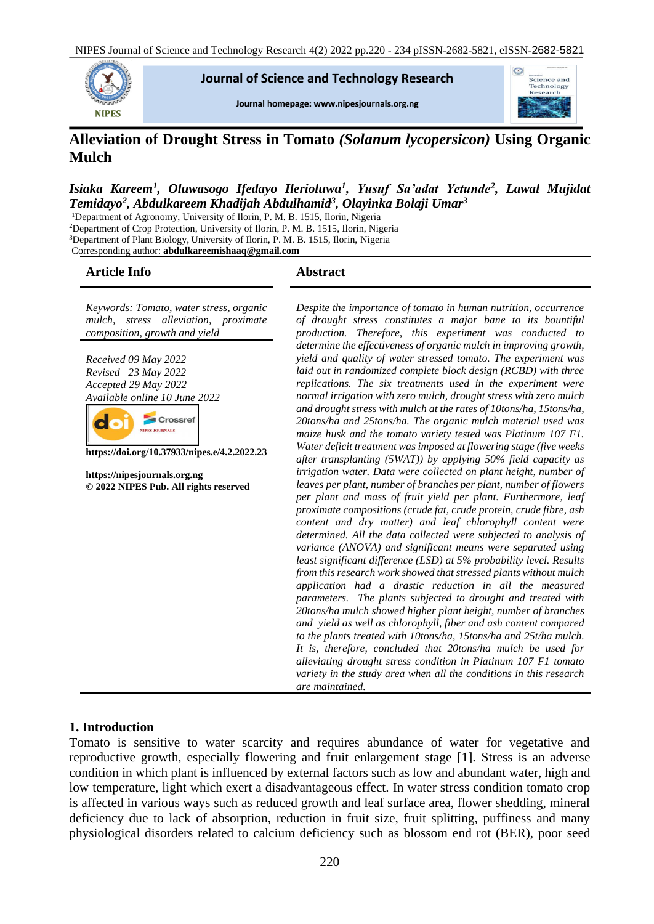

**Journal of Science and Technology Research** 

Journal homepage: www.nipesjournals.org.ng



# **Alleviation of Drought Stress in Tomato** *(Solanum lycopersicon)* **Using Organic Mulch**

# *Isiaka Kareem<sup>1</sup> , Oluwasogo Ifedayo Ilerioluwa<sup>1</sup> , Yusuf Sa'adat Yetunde<sup>2</sup> , Lawal Mujidat Temidayo<sup>2</sup> , Abdulkareem Khadijah Abdulhamid<sup>3</sup> , Olayinka Bolaji Umar<sup>3</sup>*

<sup>1</sup>Department of Agronomy, University of Ilorin, P. M. B. 1515, Ilorin, Nigeria <sup>2</sup>Department of Crop Protection, University of Ilorin, P. M. B. 1515, Ilorin, Nigeria <sup>3</sup>Department of Plant Biology, University of Ilorin, P. M. B. 1515, Ilorin, Nigeria Corresponding author: **[abdulkareemishaaq@gmail.com](mailto:abdulkareemishaaq@gmail.com)**

#### **Article Info Abstract**

*Keywords: Tomato, water stress, organic mulch, stress alleviation, proximate composition, growth and yield*

*Received 09 May 2022 Revised 23 May 2022 Accepted 29 May 2022 Available online 10 June 2022*



**https://doi.org/10.37933/nipes.e/4.2.2022.23**

**https://nipesjournals.org.ng © 2022 NIPES Pub. All rights reserved**

*Despite the importance of tomato in human nutrition, occurrence of drought stress constitutes a major bane to its bountiful production. Therefore, this experiment was conducted to determine the effectiveness of organic mulch in improving growth, yield and quality of water stressed tomato. The experiment was laid out in randomized complete block design (RCBD) with three replications. The six treatments used in the experiment were normal irrigation with zero mulch, drought stress with zero mulch and drought stress with mulch at the rates of 10tons/ha, 15tons/ha, 20tons/ha and 25tons/ha. The organic mulch material used was maize husk and the tomato variety tested was Platinum 107 F1. Water deficit treatment was imposed at flowering stage (five weeks after transplanting (5WAT)) by applying 50% field capacity as irrigation water. Data were collected on plant height, number of leaves per plant, number of branches per plant, number of flowers per plant and mass of fruit yield per plant. Furthermore, leaf proximate compositions (crude fat, crude protein, crude fibre, ash content and dry matter) and leaf chlorophyll content were determined. All the data collected were subjected to analysis of variance (ANOVA) and significant means were separated using least significant difference (LSD) at 5% probability level. Results from this research work showed that stressed plants without mulch application had a drastic reduction in all the measured parameters. The plants subjected to drought and treated with 20tons/ha mulch showed higher plant height, number of branches and yield as well as chlorophyll, fiber and ash content compared to the plants treated with 10tons/ha, 15tons/ha and 25t/ha mulch. It is, therefore, concluded that 20tons/ha mulch be used for alleviating drought stress condition in Platinum 107 F1 tomato variety in the study area when all the conditions in this research are maintained.*

#### **1. Introduction**

Tomato is sensitive to water scarcity and requires abundance of water for vegetative and reproductive growth, especially flowering and fruit enlargement stage [1]. Stress is an adverse condition in which plant is influenced by external factors such as low and abundant water, high and low temperature, light which exert a disadvantageous effect. In water stress condition tomato crop is affected in various ways such as reduced growth and leaf surface area, flower shedding, mineral deficiency due to lack of absorption, reduction in fruit size, fruit splitting, puffiness and many physiological disorders related to calcium deficiency such as blossom end rot (BER), poor seed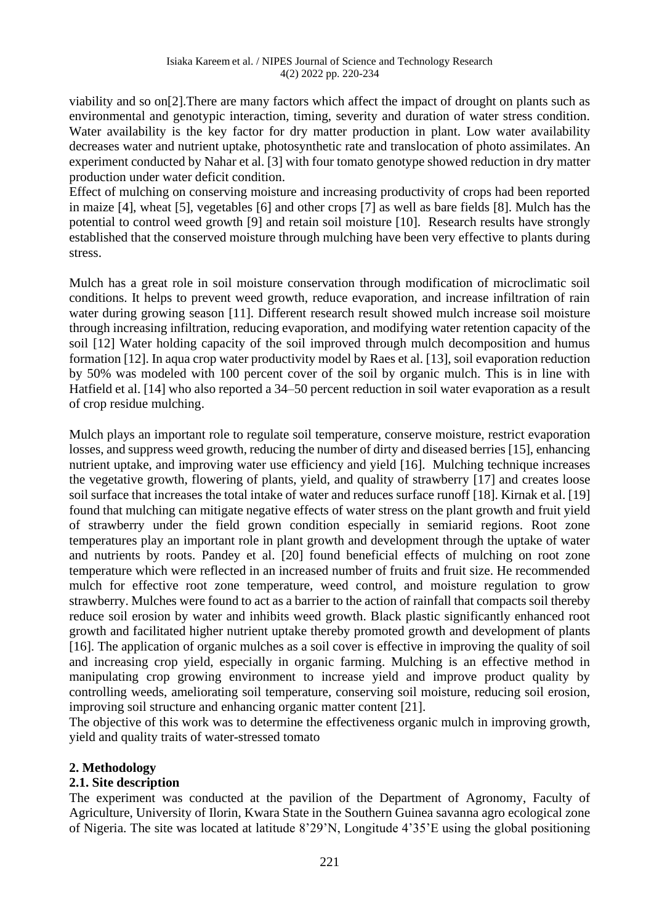viability and so on[2].There are many factors which affect the impact of drought on plants such as environmental and genotypic interaction, timing, severity and duration of water stress condition. Water availability is the key factor for dry matter production in plant. Low water availability decreases water and nutrient uptake, photosynthetic rate and translocation of photo assimilates. An experiment conducted by Nahar et al. [3] with four tomato genotype showed reduction in dry matter production under water deficit condition.

Effect of mulching on conserving moisture and increasing productivity of crops had been reported in maize [4], wheat [5], vegetables [6] and other crops [7] as well as bare fields [8]. Mulch has the potential to control weed growth [9] and retain soil moisture [10]. Research results have strongly established that the conserved moisture through mulching have been very effective to plants during stress.

Mulch has a great role in soil moisture conservation through modification of microclimatic soil conditions. It helps to prevent weed growth, reduce evaporation, and increase infiltration of rain water during growing season [11]. Different research result showed mulch increase soil moisture through increasing infiltration, reducing evaporation, and modifying water retention capacity of the soil [12] Water holding capacity of the soil improved through mulch decomposition and humus formation [12]. In aqua crop water productivity model by Raes et al. [13], soil evaporation reduction by 50% was modeled with 100 percent cover of the soil by organic mulch. This is in line with Hatfield et al. [14] who also reported a 34–50 percent reduction in soil water evaporation as a result of crop residue mulching.

Mulch plays an important role to regulate soil temperature, conserve moisture, restrict evaporation losses, and suppress weed growth, reducing the number of dirty and diseased berries [15], enhancing nutrient uptake, and improving water use efficiency and yield [16]. Mulching technique increases the vegetative growth, flowering of plants, yield, and quality of strawberry [17] and creates loose soil surface that increases the total intake of water and reduces surface runoff [18]. Kirnak et al. [19] found that mulching can mitigate negative effects of water stress on the plant growth and fruit yield of strawberry under the field grown condition especially in semiarid regions. Root zone temperatures play an important role in plant growth and development through the uptake of water and nutrients by roots. Pandey et al. [20] found beneficial effects of mulching on root zone temperature which were reflected in an increased number of fruits and fruit size. He recommended mulch for effective root zone temperature, weed control, and moisture regulation to grow strawberry. Mulches were found to act as a barrier to the action of rainfall that compacts soil thereby reduce soil erosion by water and inhibits weed growth. Black plastic significantly enhanced root growth and facilitated higher nutrient uptake thereby promoted growth and development of plants [16]. The application of organic mulches as a soil cover is effective in improving the quality of soil and increasing crop yield, especially in organic farming. Mulching is an effective method in manipulating crop growing environment to increase yield and improve product quality by controlling weeds, ameliorating soil temperature, conserving soil moisture, reducing soil erosion, improving soil structure and enhancing organic matter content [21].

The objective of this work was to determine the effectiveness organic mulch in improving growth, yield and quality traits of water-stressed tomato

# **2. Methodology**

#### **2.1. Site description**

The experiment was conducted at the pavilion of the Department of Agronomy, Faculty of Agriculture, University of Ilorin, Kwara State in the Southern Guinea savanna agro ecological zone of Nigeria. The site was located at latitude 8'29'N, Longitude 4'35'E using the global positioning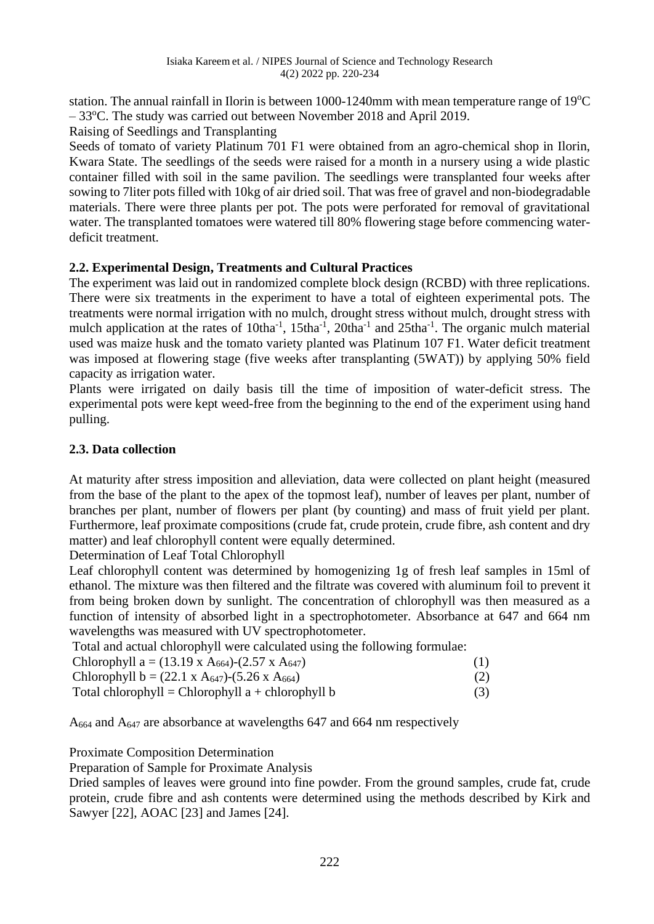station. The annual rainfall in Ilorin is between  $1000-1240$ mm with mean temperature range of  $19^{\circ}$ C – 33<sup>o</sup>C. The study was carried out between November 2018 and April 2019.

Raising of Seedlings and Transplanting

Seeds of tomato of variety Platinum 701 F1 were obtained from an agro-chemical shop in Ilorin, Kwara State. The seedlings of the seeds were raised for a month in a nursery using a wide plastic container filled with soil in the same pavilion. The seedlings were transplanted four weeks after sowing to 7liter pots filled with 10kg of air dried soil. That was free of gravel and non-biodegradable materials. There were three plants per pot. The pots were perforated for removal of gravitational water. The transplanted tomatoes were watered till 80% flowering stage before commencing waterdeficit treatment.

# **2.2. Experimental Design, Treatments and Cultural Practices**

The experiment was laid out in randomized complete block design (RCBD) with three replications. There were six treatments in the experiment to have a total of eighteen experimental pots. The treatments were normal irrigation with no mulch, drought stress without mulch, drought stress with mulch application at the rates of  $10$ tha<sup>-1</sup>,  $15$ tha<sup>-1</sup>,  $20$ tha<sup>-1</sup> and  $25$ tha<sup>-1</sup>. The organic mulch material used was maize husk and the tomato variety planted was Platinum 107 F1. Water deficit treatment was imposed at flowering stage (five weeks after transplanting (5WAT)) by applying 50% field capacity as irrigation water.

Plants were irrigated on daily basis till the time of imposition of water-deficit stress. The experimental pots were kept weed-free from the beginning to the end of the experiment using hand pulling.

# **2.3. Data collection**

At maturity after stress imposition and alleviation, data were collected on plant height (measured from the base of the plant to the apex of the topmost leaf), number of leaves per plant, number of branches per plant, number of flowers per plant (by counting) and mass of fruit yield per plant. Furthermore, leaf proximate compositions (crude fat, crude protein, crude fibre, ash content and dry matter) and leaf chlorophyll content were equally determined.

Determination of Leaf Total Chlorophyll

Leaf chlorophyll content was determined by homogenizing 1g of fresh leaf samples in 15ml of ethanol. The mixture was then filtered and the filtrate was covered with aluminum foil to prevent it from being broken down by sunlight. The concentration of chlorophyll was then measured as a function of intensity of absorbed light in a spectrophotometer. Absorbance at 647 and 664 nm wavelengths was measured with UV spectrophotometer.

Total and actual chlorophyll were calculated using the following formulae:

| Chlorophyll a = $(13.19 \text{ x A}_{664})$ - $(2.57 \text{ x A}_{647})$ | (1) |
|--------------------------------------------------------------------------|-----|
| Chlorophyll b = $(22.1 \times A_{647})$ - $(5.26 \times A_{664})$        | (2) |

|  | Total chlorophyll = Chlorophyll $a +$ chlorophyll $b$ |  |
|--|-------------------------------------------------------|--|
|--|-------------------------------------------------------|--|

A<sup>664</sup> and A<sup>647</sup> are absorbance at wavelengths 647 and 664 nm respectively

Proximate Composition Determination

Preparation of Sample for Proximate Analysis

Dried samples of leaves were ground into fine powder. From the ground samples, crude fat, crude protein, crude fibre and ash contents were determined using the methods described by Kirk and Sawyer [22], AOAC [23] and James [24].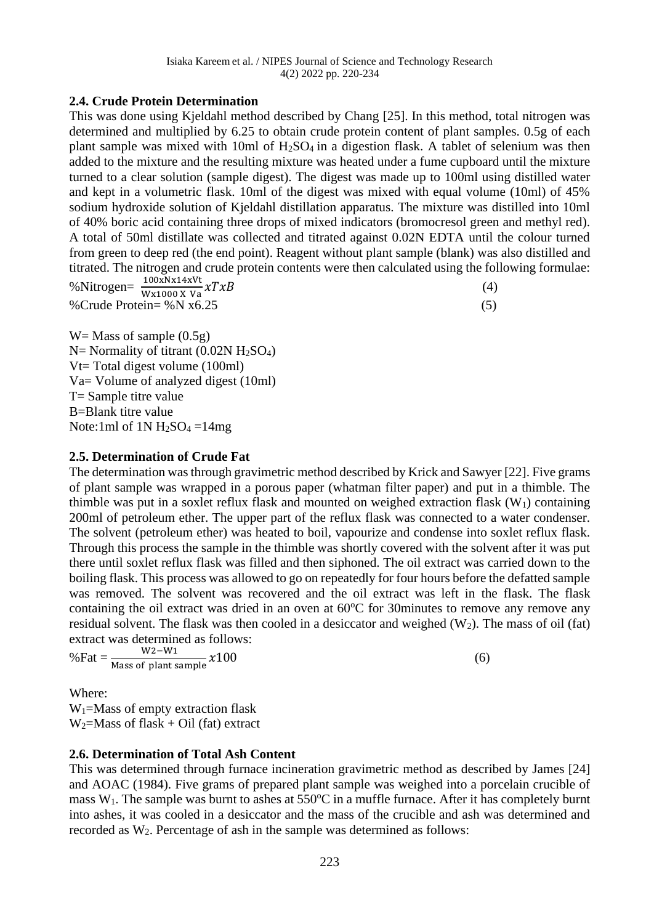## **2.4. Crude Protein Determination**

This was done using Kjeldahl method described by Chang [25]. In this method, total nitrogen was determined and multiplied by 6.25 to obtain crude protein content of plant samples. 0.5g of each plant sample was mixed with 10ml of  $H_2SO_4$  in a digestion flask. A tablet of selenium was then added to the mixture and the resulting mixture was heated under a fume cupboard until the mixture turned to a clear solution (sample digest). The digest was made up to 100ml using distilled water and kept in a volumetric flask. 10ml of the digest was mixed with equal volume (10ml) of 45% sodium hydroxide solution of Kjeldahl distillation apparatus. The mixture was distilled into 10ml of 40% boric acid containing three drops of mixed indicators (bromocresol green and methyl red). A total of 50ml distillate was collected and titrated against 0.02N EDTA until the colour turned from green to deep red (the end point). Reagent without plant sample (blank) was also distilled and titrated. The nitrogen and crude protein contents were then calculated using the following formulae: %Nitrogen= $\frac{100 \times N \times 14 \times Vt}{W \times 1000 \times Va} \chi T \chi B$  (4) %Crude Protein=  $\%$ N x6.25 (5)

 $W =$ Mass of sample  $(0.5g)$  $N=$  Normality of titrant (0.02N H<sub>2</sub>SO<sub>4</sub>) Vt= Total digest volume (100ml) Va= Volume of analyzed digest (10ml) T= Sample titre value B=Blank titre value Note:1ml of  $1N H_2SO_4 = 14mg$ 

#### **2.5. Determination of Crude Fat**

The determination was through gravimetric method described by Krick and Sawyer [22]. Five grams of plant sample was wrapped in a porous paper (whatman filter paper) and put in a thimble. The thimble was put in a soxlet reflux flask and mounted on weighed extraction flask  $(W_1)$  containing 200ml of petroleum ether. The upper part of the reflux flask was connected to a water condenser. The solvent (petroleum ether) was heated to boil, vapourize and condense into soxlet reflux flask. Through this process the sample in the thimble was shortly covered with the solvent after it was put there until soxlet reflux flask was filled and then siphoned. The oil extract was carried down to the boiling flask. This process was allowed to go on repeatedly for four hours before the defatted sample was removed. The solvent was recovered and the oil extract was left in the flask. The flask containing the oil extract was dried in an oven at  $60^{\circ}$ C for 30minutes to remove any remove any residual solvent. The flask was then cooled in a desiccator and weighed  $(W_2)$ . The mass of oil (fat) extract was determined as follows:

$$
\% \text{Fat} = \frac{W2 - W1}{\text{Mass of plant sample}} \chi 100 \tag{6}
$$

Where:

 $W_1$ =Mass of empty extraction flask  $W_2$ =Mass of flask + Oil (fat) extract

# **2.6. Determination of Total Ash Content**

This was determined through furnace incineration gravimetric method as described by James [24] and AOAC (1984). Five grams of prepared plant sample was weighed into a porcelain crucible of mass  $W_1$ . The sample was burnt to ashes at 550 $^{\circ}$ C in a muffle furnace. After it has completely burnt into ashes, it was cooled in a desiccator and the mass of the crucible and ash was determined and recorded as W2. Percentage of ash in the sample was determined as follows: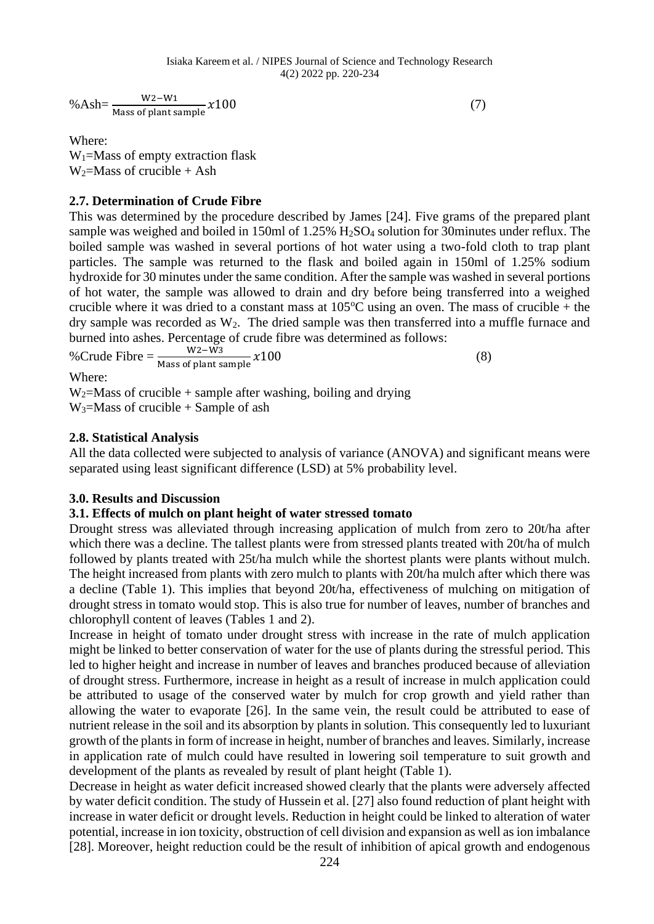% Ash= $\frac{W2-W1}{Mass \text{ of plant sample}} x100$  (7)

Where:  $W_1$ =Mass of empty extraction flask  $W_2$ =Mass of crucible + Ash

# **2.7. Determination of Crude Fibre**

This was determined by the procedure described by James [24]. Five grams of the prepared plant sample was weighed and boiled in 150ml of 1.25% H<sub>2</sub>SO<sub>4</sub> solution for 30minutes under reflux. The boiled sample was washed in several portions of hot water using a two-fold cloth to trap plant particles. The sample was returned to the flask and boiled again in 150ml of 1.25% sodium hydroxide for 30 minutes under the same condition. After the sample was washed in several portions of hot water, the sample was allowed to drain and dry before being transferred into a weighed crucible where it was dried to a constant mass at  $105^{\circ}$ C using an oven. The mass of crucible + the dry sample was recorded as  $W_2$ . The dried sample was then transferred into a muffle furnace and burned into ashes. Percentage of crude fibre was determined as follows:

%Crude Fibre =  $\frac{W2-W3}{Mass of plant sample} \chi 100$  (8)

Where:

 $W_2$ =Mass of crucible + sample after washing, boiling and drying  $W_3 = Mass$  of crucible + Sample of ash

# **2.8. Statistical Analysis**

All the data collected were subjected to analysis of variance (ANOVA) and significant means were separated using least significant difference (LSD) at 5% probability level.

# **3.0. Results and Discussion**

# **3.1. Effects of mulch on plant height of water stressed tomato**

Drought stress was alleviated through increasing application of mulch from zero to 20t/ha after which there was a decline. The tallest plants were from stressed plants treated with 20t/ha of mulch followed by plants treated with 25t/ha mulch while the shortest plants were plants without mulch. The height increased from plants with zero mulch to plants with 20t/ha mulch after which there was a decline (Table 1). This implies that beyond 20t/ha, effectiveness of mulching on mitigation of drought stress in tomato would stop. This is also true for number of leaves, number of branches and chlorophyll content of leaves (Tables 1 and 2).

Increase in height of tomato under drought stress with increase in the rate of mulch application might be linked to better conservation of water for the use of plants during the stressful period. This led to higher height and increase in number of leaves and branches produced because of alleviation of drought stress. Furthermore, increase in height as a result of increase in mulch application could be attributed to usage of the conserved water by mulch for crop growth and yield rather than allowing the water to evaporate [26]. In the same vein, the result could be attributed to ease of nutrient release in the soil and its absorption by plants in solution. This consequently led to luxuriant growth of the plants in form of increase in height, number of branches and leaves. Similarly, increase in application rate of mulch could have resulted in lowering soil temperature to suit growth and development of the plants as revealed by result of plant height (Table 1).

Decrease in height as water deficit increased showed clearly that the plants were adversely affected by water deficit condition. The study of Hussein et al. [27] also found reduction of plant height with increase in water deficit or drought levels. Reduction in height could be linked to alteration of water potential, increase in ion toxicity, obstruction of cell division and expansion as well as ion imbalance [28]. Moreover, height reduction could be the result of inhibition of apical growth and endogenous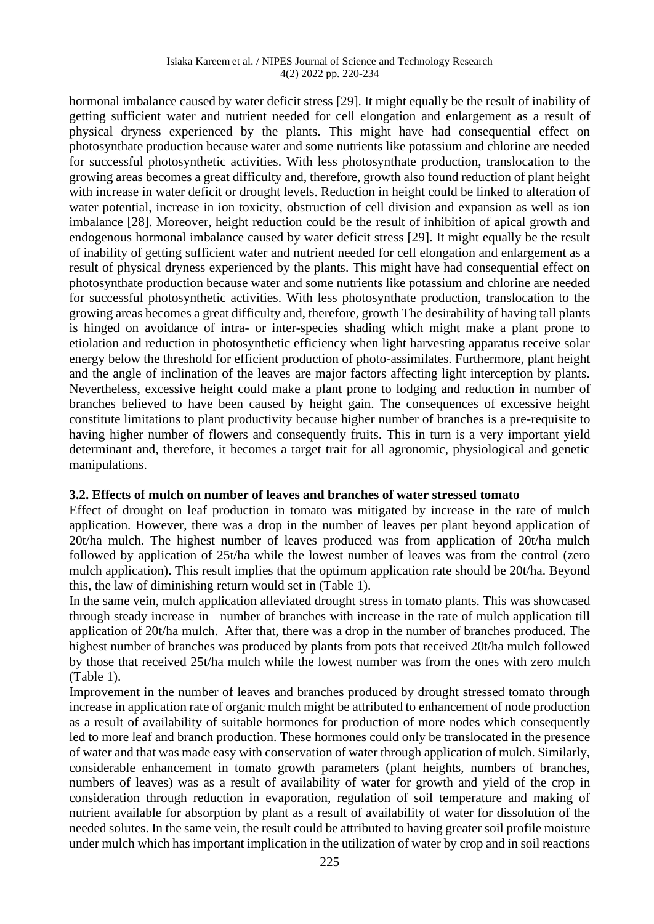#### Isiaka Kareem et al. / NIPES Journal of Science and Technology Research 4(2) 2022 pp. 220-234

hormonal imbalance caused by water deficit stress [29]. It might equally be the result of inability of getting sufficient water and nutrient needed for cell elongation and enlargement as a result of physical dryness experienced by the plants. This might have had consequential effect on photosynthate production because water and some nutrients like potassium and chlorine are needed for successful photosynthetic activities. With less photosynthate production, translocation to the growing areas becomes a great difficulty and, therefore, growth also found reduction of plant height with increase in water deficit or drought levels. Reduction in height could be linked to alteration of water potential, increase in ion toxicity, obstruction of cell division and expansion as well as ion imbalance [28]. Moreover, height reduction could be the result of inhibition of apical growth and endogenous hormonal imbalance caused by water deficit stress [29]. It might equally be the result of inability of getting sufficient water and nutrient needed for cell elongation and enlargement as a result of physical dryness experienced by the plants. This might have had consequential effect on photosynthate production because water and some nutrients like potassium and chlorine are needed for successful photosynthetic activities. With less photosynthate production, translocation to the growing areas becomes a great difficulty and, therefore, growth The desirability of having tall plants is hinged on avoidance of intra- or inter-species shading which might make a plant prone to etiolation and reduction in photosynthetic efficiency when light harvesting apparatus receive solar energy below the threshold for efficient production of photo-assimilates. Furthermore, plant height and the angle of inclination of the leaves are major factors affecting light interception by plants. Nevertheless, excessive height could make a plant prone to lodging and reduction in number of branches believed to have been caused by height gain. The consequences of excessive height constitute limitations to plant productivity because higher number of branches is a pre-requisite to having higher number of flowers and consequently fruits. This in turn is a very important yield determinant and, therefore, it becomes a target trait for all agronomic, physiological and genetic manipulations.

#### **3.2. Effects of mulch on number of leaves and branches of water stressed tomato**

Effect of drought on leaf production in tomato was mitigated by increase in the rate of mulch application. However, there was a drop in the number of leaves per plant beyond application of 20t/ha mulch. The highest number of leaves produced was from application of 20t/ha mulch followed by application of 25t/ha while the lowest number of leaves was from the control (zero mulch application). This result implies that the optimum application rate should be 20t/ha. Beyond this, the law of diminishing return would set in (Table 1).

In the same vein, mulch application alleviated drought stress in tomato plants. This was showcased through steady increase in number of branches with increase in the rate of mulch application till application of 20t/ha mulch. After that, there was a drop in the number of branches produced. The highest number of branches was produced by plants from pots that received 20t/ha mulch followed by those that received 25t/ha mulch while the lowest number was from the ones with zero mulch (Table 1).

Improvement in the number of leaves and branches produced by drought stressed tomato through increase in application rate of organic mulch might be attributed to enhancement of node production as a result of availability of suitable hormones for production of more nodes which consequently led to more leaf and branch production. These hormones could only be translocated in the presence of water and that was made easy with conservation of water through application of mulch. Similarly, considerable enhancement in tomato growth parameters (plant heights, numbers of branches, numbers of leaves) was as a result of availability of water for growth and yield of the crop in consideration through reduction in evaporation, regulation of soil temperature and making of nutrient available for absorption by plant as a result of availability of water for dissolution of the needed solutes. In the same vein, the result could be attributed to having greater soil profile moisture under mulch which has important implication in the utilization of water by crop and in soil reactions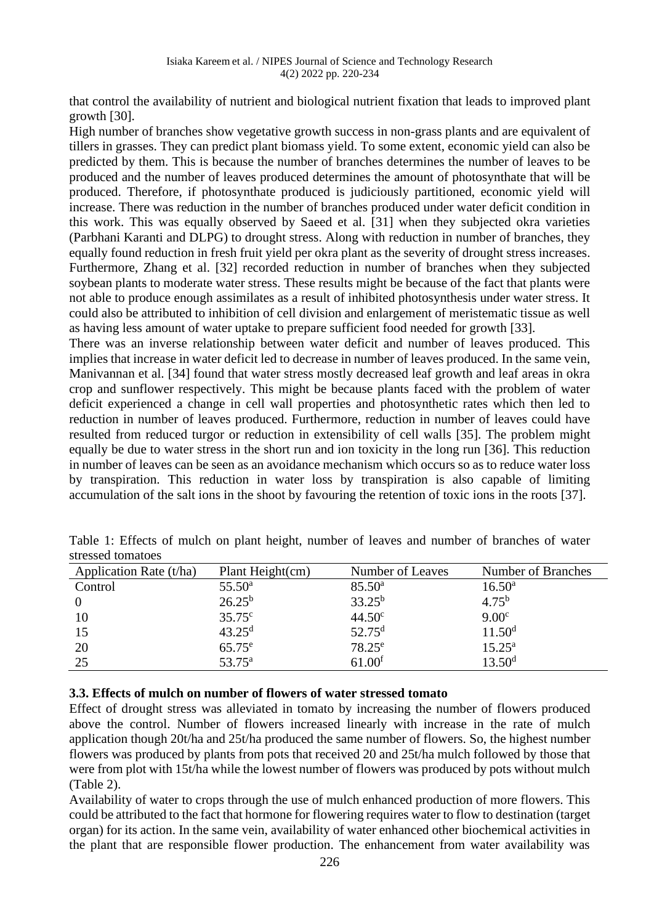that control the availability of nutrient and biological nutrient fixation that leads to improved plant growth [30].

High number of branches show vegetative growth success in non-grass plants and are equivalent of tillers in grasses. They can predict plant biomass yield. To some extent, economic yield can also be predicted by them. This is because the number of branches determines the number of leaves to be produced and the number of leaves produced determines the amount of photosynthate that will be produced. Therefore, if photosynthate produced is judiciously partitioned, economic yield will increase. There was reduction in the number of branches produced under water deficit condition in this work. This was equally observed by Saeed et al. [31] when they subjected okra varieties (Parbhani Karanti and DLPG) to drought stress. Along with reduction in number of branches, they equally found reduction in fresh fruit yield per okra plant as the severity of drought stress increases. Furthermore, Zhang et al. [32] recorded reduction in number of branches when they subjected soybean plants to moderate water stress. These results might be because of the fact that plants were not able to produce enough assimilates as a result of inhibited photosynthesis under water stress. It could also be attributed to inhibition of cell division and enlargement of meristematic tissue as well as having less amount of water uptake to prepare sufficient food needed for growth [33].

There was an inverse relationship between water deficit and number of leaves produced. This implies that increase in water deficit led to decrease in number of leaves produced. In the same vein, Manivannan et al. [34] found that water stress mostly decreased leaf growth and leaf areas in okra crop and sunflower respectively. This might be because plants faced with the problem of water deficit experienced a change in cell wall properties and photosynthetic rates which then led to reduction in number of leaves produced. Furthermore, reduction in number of leaves could have resulted from reduced turgor or reduction in extensibility of cell walls [35]. The problem might equally be due to water stress in the short run and ion toxicity in the long run [36]. This reduction in number of leaves can be seen as an avoidance mechanism which occurs so as to reduce water loss by transpiration. This reduction in water loss by transpiration is also capable of limiting accumulation of the salt ions in the shoot by favouring the retention of toxic ions in the roots [37].

| Application Rate (t/ha) | Plant Height(cm) | Number of Leaves   | Number of Branches |
|-------------------------|------------------|--------------------|--------------------|
| Control                 | $55.50^{\rm a}$  | $85.50^{\circ}$    | $16.50^{\rm a}$    |
|                         | $26.25^{b}$      | $33.25^{b}$        | $4.75^{\rm b}$     |
|                         | $35.75^{\circ}$  | $44.50^{\circ}$    | 9.00 <sup>c</sup>  |
| 15                      | $43.25^{\rm d}$  | $52.75^{\rm d}$    | 11.50 <sup>d</sup> |
| 20                      | $65.75^{\circ}$  | $78.25^{\circ}$    | $15.25^{\rm a}$    |
| 25                      | $53.75^{\circ}$  | 61.00 <sup>f</sup> | 13.50 <sup>d</sup> |

Table 1: Effects of mulch on plant height, number of leaves and number of branches of water stressed tomatoes

#### **3.3. Effects of mulch on number of flowers of water stressed tomato**

Effect of drought stress was alleviated in tomato by increasing the number of flowers produced above the control. Number of flowers increased linearly with increase in the rate of mulch application though 20t/ha and 25t/ha produced the same number of flowers. So, the highest number flowers was produced by plants from pots that received 20 and 25t/ha mulch followed by those that were from plot with 15t/ha while the lowest number of flowers was produced by pots without mulch (Table 2).

Availability of water to crops through the use of mulch enhanced production of more flowers. This could be attributed to the fact that hormone for flowering requires water to flow to destination (target organ) for its action. In the same vein, availability of water enhanced other biochemical activities in the plant that are responsible flower production. The enhancement from water availability was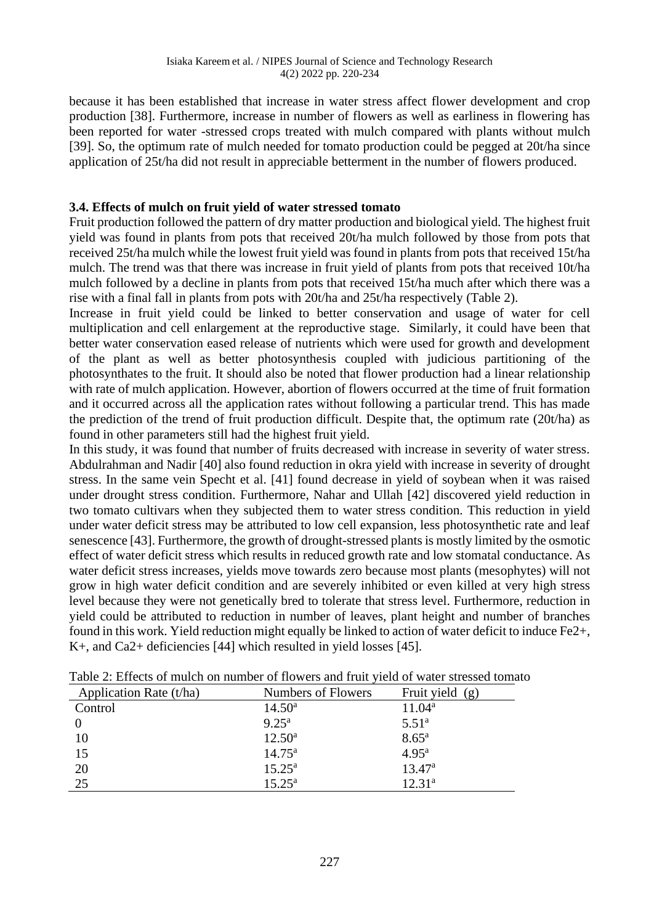because it has been established that increase in water stress affect flower development and crop production [38]. Furthermore, increase in number of flowers as well as earliness in flowering has been reported for water -stressed crops treated with mulch compared with plants without mulch [39]. So, the optimum rate of mulch needed for tomato production could be pegged at 20t/ha since application of 25t/ha did not result in appreciable betterment in the number of flowers produced.

## **3.4. Effects of mulch on fruit yield of water stressed tomato**

Fruit production followed the pattern of dry matter production and biological yield. The highest fruit yield was found in plants from pots that received 20t/ha mulch followed by those from pots that received 25t/ha mulch while the lowest fruit yield was found in plants from pots that received 15t/ha mulch. The trend was that there was increase in fruit yield of plants from pots that received 10t/ha mulch followed by a decline in plants from pots that received 15t/ha much after which there was a rise with a final fall in plants from pots with 20t/ha and 25t/ha respectively (Table 2).

Increase in fruit yield could be linked to better conservation and usage of water for cell multiplication and cell enlargement at the reproductive stage. Similarly, it could have been that better water conservation eased release of nutrients which were used for growth and development of the plant as well as better photosynthesis coupled with judicious partitioning of the photosynthates to the fruit. It should also be noted that flower production had a linear relationship with rate of mulch application. However, abortion of flowers occurred at the time of fruit formation and it occurred across all the application rates without following a particular trend. This has made the prediction of the trend of fruit production difficult. Despite that, the optimum rate (20t/ha) as found in other parameters still had the highest fruit yield.

In this study, it was found that number of fruits decreased with increase in severity of water stress. Abdulrahman and Nadir [40] also found reduction in okra yield with increase in severity of drought stress. In the same vein Specht et al. [41] found decrease in yield of soybean when it was raised under drought stress condition. Furthermore, Nahar and Ullah [42] discovered yield reduction in two tomato cultivars when they subjected them to water stress condition. This reduction in yield under water deficit stress may be attributed to low cell expansion, less photosynthetic rate and leaf senescence [43]. Furthermore, the growth of drought-stressed plants is mostly limited by the osmotic effect of water deficit stress which results in reduced growth rate and low stomatal conductance. As water deficit stress increases, yields move towards zero because most plants (mesophytes) will not grow in high water deficit condition and are severely inhibited or even killed at very high stress level because they were not genetically bred to tolerate that stress level. Furthermore, reduction in yield could be attributed to reduction in number of leaves, plant height and number of branches found in this work. Yield reduction might equally be linked to action of water deficit to induce Fe2+, K+, and Ca2+ deficiencies [44] which resulted in yield losses [45].

| Application Rate (t/ha) | Numbers of Flowers | Fruit yield $(g)$  |
|-------------------------|--------------------|--------------------|
| Control                 | $14.50^{\rm a}$    | $11.04^a$          |
| $\Omega$                | $9.25^{\rm a}$     | $5.51^{\rm a}$     |
| 10                      | $12.50^a$          | $8.65^{\rm a}$     |
| 15                      | $14.75^{\circ}$    | $4.95^{\rm a}$     |
| 20                      | $15.25^{\rm a}$    | $13.47^{\rm a}$    |
| 25                      | $15.25^{\rm a}$    | 12.31 <sup>a</sup> |

Table 2: Effects of mulch on number of flowers and fruit yield of water stressed tomato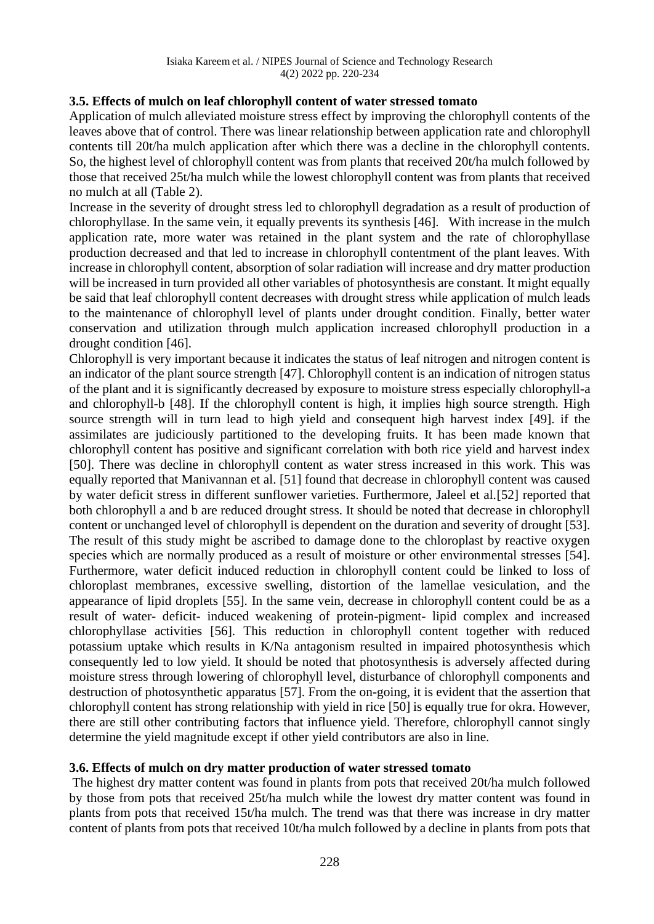## **3.5. Effects of mulch on leaf chlorophyll content of water stressed tomato**

Application of mulch alleviated moisture stress effect by improving the chlorophyll contents of the leaves above that of control. There was linear relationship between application rate and chlorophyll contents till 20t/ha mulch application after which there was a decline in the chlorophyll contents. So, the highest level of chlorophyll content was from plants that received 20t/ha mulch followed by those that received 25t/ha mulch while the lowest chlorophyll content was from plants that received no mulch at all (Table 2).

Increase in the severity of drought stress led to chlorophyll degradation as a result of production of chlorophyllase. In the same vein, it equally prevents its synthesis [46]. With increase in the mulch application rate, more water was retained in the plant system and the rate of chlorophyllase production decreased and that led to increase in chlorophyll contentment of the plant leaves. With increase in chlorophyll content, absorption of solar radiation will increase and dry matter production will be increased in turn provided all other variables of photosynthesis are constant. It might equally be said that leaf chlorophyll content decreases with drought stress while application of mulch leads to the maintenance of chlorophyll level of plants under drought condition. Finally, better water conservation and utilization through mulch application increased chlorophyll production in a drought condition [46].

Chlorophyll is very important because it indicates the status of leaf nitrogen and nitrogen content is an indicator of the plant source strength [47]. Chlorophyll content is an indication of nitrogen status of the plant and it is significantly decreased by exposure to moisture stress especially chlorophyll-a and chlorophyll-b [48]. If the chlorophyll content is high, it implies high source strength. High source strength will in turn lead to high yield and consequent high harvest index [49]. if the assimilates are judiciously partitioned to the developing fruits. It has been made known that chlorophyll content has positive and significant correlation with both rice yield and harvest index [50]. There was decline in chlorophyll content as water stress increased in this work. This was equally reported that Manivannan et al. [51] found that decrease in chlorophyll content was caused by water deficit stress in different sunflower varieties. Furthermore, Jaleel et al.[52] reported that both chlorophyll a and b are reduced drought stress. It should be noted that decrease in chlorophyll content or unchanged level of chlorophyll is dependent on the duration and severity of drought [53]. The result of this study might be ascribed to damage done to the chloroplast by reactive oxygen species which are normally produced as a result of moisture or other environmental stresses [54]. Furthermore, water deficit induced reduction in chlorophyll content could be linked to loss of chloroplast membranes, excessive swelling, distortion of the lamellae vesiculation, and the appearance of lipid droplets [55]. In the same vein, decrease in chlorophyll content could be as a result of water- deficit- induced weakening of protein-pigment- lipid complex and increased chlorophyllase activities [56]. This reduction in chlorophyll content together with reduced potassium uptake which results in K/Na antagonism resulted in impaired photosynthesis which consequently led to low yield. It should be noted that photosynthesis is adversely affected during moisture stress through lowering of chlorophyll level, disturbance of chlorophyll components and destruction of photosynthetic apparatus [57]. From the on-going, it is evident that the assertion that chlorophyll content has strong relationship with yield in rice [50] is equally true for okra. However, there are still other contributing factors that influence yield. Therefore, chlorophyll cannot singly determine the yield magnitude except if other yield contributors are also in line.

#### **3.6. Effects of mulch on dry matter production of water stressed tomato**

The highest dry matter content was found in plants from pots that received 20t/ha mulch followed by those from pots that received 25t/ha mulch while the lowest dry matter content was found in plants from pots that received 15t/ha mulch. The trend was that there was increase in dry matter content of plants from pots that received 10t/ha mulch followed by a decline in plants from pots that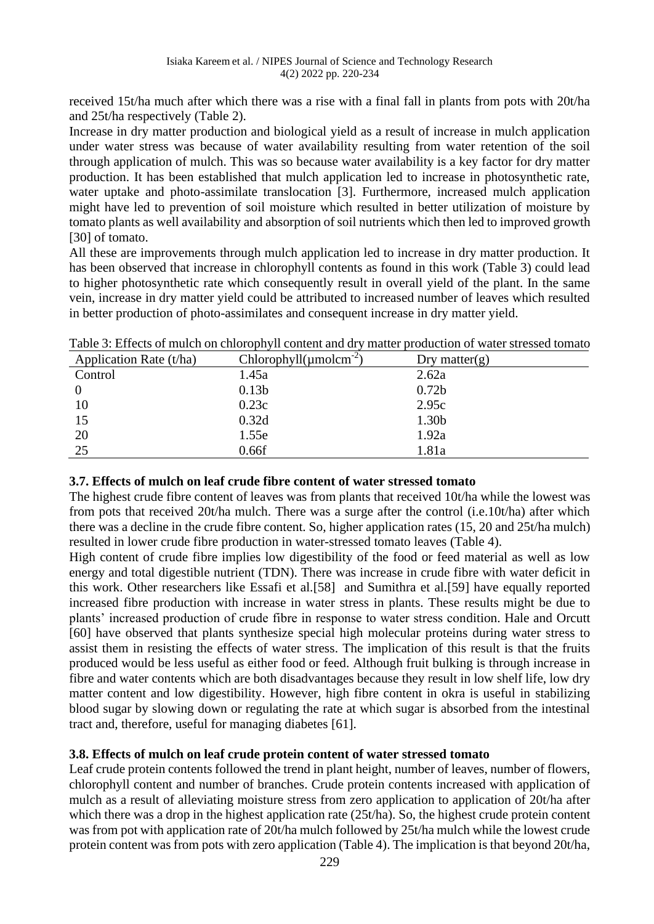received 15t/ha much after which there was a rise with a final fall in plants from pots with 20t/ha and 25t/ha respectively (Table 2).

Increase in dry matter production and biological yield as a result of increase in mulch application under water stress was because of water availability resulting from water retention of the soil through application of mulch. This was so because water availability is a key factor for dry matter production. It has been established that mulch application led to increase in photosynthetic rate, water uptake and photo-assimilate translocation [3]. Furthermore, increased mulch application might have led to prevention of soil moisture which resulted in better utilization of moisture by tomato plants as well availability and absorption of soil nutrients which then led to improved growth [30] of tomato.

All these are improvements through mulch application led to increase in dry matter production. It has been observed that increase in chlorophyll contents as found in this work (Table 3) could lead to higher photosynthetic rate which consequently result in overall yield of the plant. In the same vein, increase in dry matter yield could be attributed to increased number of leaves which resulted in better production of photo-assimilates and consequent increase in dry matter yield.

| Twore 3. Effects of multiple on emotophy if content and at y |                                       | manoi progaetion or water su essea tomato |
|--------------------------------------------------------------|---------------------------------------|-------------------------------------------|
| Application Rate (t/ha)                                      | Chlorophyll $(\mu \text{molcm}^{-2})$ | Dry matter $(g)$                          |
| Control                                                      | 1.45a                                 | 2.62a                                     |
|                                                              | 0.13 <sub>b</sub>                     | 0.72 <sub>b</sub>                         |
| 10                                                           | 0.23c                                 | 2.95c                                     |
| 15                                                           | 0.32d                                 | 1.30b                                     |
| 20                                                           | 1.55e                                 | 1.92a                                     |
| 25                                                           | 0.66f                                 | 1.81a                                     |

Table 3: Effects of mulch on chlorophyll content and dry matter production of water stressed tomato

# **3.7. Effects of mulch on leaf crude fibre content of water stressed tomato**

The highest crude fibre content of leaves was from plants that received 10t/ha while the lowest was from pots that received 20t/ha mulch. There was a surge after the control (i.e.10t/ha) after which there was a decline in the crude fibre content. So, higher application rates (15, 20 and 25t/ha mulch) resulted in lower crude fibre production in water-stressed tomato leaves (Table 4).

High content of crude fibre implies low digestibility of the food or feed material as well as low energy and total digestible nutrient (TDN). There was increase in crude fibre with water deficit in this work. Other researchers like Essafi et al.[58] and Sumithra et al.[59] have equally reported increased fibre production with increase in water stress in plants. These results might be due to plants' increased production of crude fibre in response to water stress condition. Hale and Orcutt [60] have observed that plants synthesize special high molecular proteins during water stress to assist them in resisting the effects of water stress. The implication of this result is that the fruits produced would be less useful as either food or feed. Although fruit bulking is through increase in fibre and water contents which are both disadvantages because they result in low shelf life, low dry matter content and low digestibility. However, high fibre content in okra is useful in stabilizing blood sugar by slowing down or regulating the rate at which sugar is absorbed from the intestinal tract and, therefore, useful for managing diabetes [61].

# **3.8. Effects of mulch on leaf crude protein content of water stressed tomato**

Leaf crude protein contents followed the trend in plant height, number of leaves, number of flowers, chlorophyll content and number of branches. Crude protein contents increased with application of mulch as a result of alleviating moisture stress from zero application to application of 20t/ha after which there was a drop in the highest application rate (25t/ha). So, the highest crude protein content was from pot with application rate of 20t/ha mulch followed by 25t/ha mulch while the lowest crude protein content was from pots with zero application (Table 4). The implication is that beyond 20t/ha,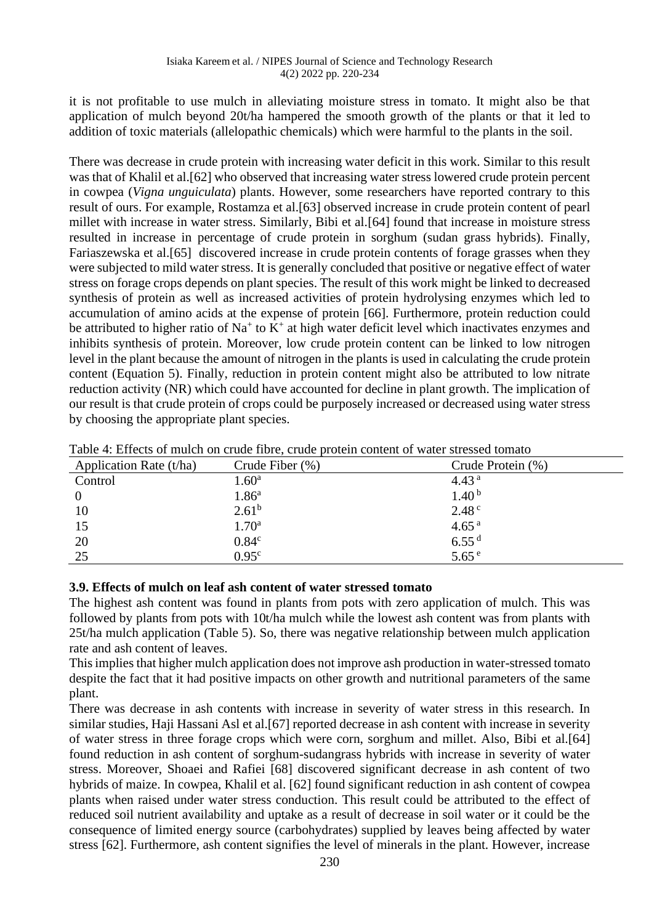it is not profitable to use mulch in alleviating moisture stress in tomato. It might also be that application of mulch beyond 20t/ha hampered the smooth growth of the plants or that it led to addition of toxic materials (allelopathic chemicals) which were harmful to the plants in the soil.

There was decrease in crude protein with increasing water deficit in this work. Similar to this result was that of Khalil et al.[62] who observed that increasing water stress lowered crude protein percent in cowpea (*Vigna unguiculata*) plants. However, some researchers have reported contrary to this result of ours. For example, Rostamza et al.[63] observed increase in crude protein content of pearl millet with increase in water stress. Similarly, Bibi et al.[64] found that increase in moisture stress resulted in increase in percentage of crude protein in sorghum (sudan grass hybrids). Finally, Fariaszewska et al.[65] discovered increase in crude protein contents of forage grasses when they were subjected to mild water stress. It is generally concluded that positive or negative effect of water stress on forage crops depends on plant species. The result of this work might be linked to decreased synthesis of protein as well as increased activities of protein hydrolysing enzymes which led to accumulation of amino acids at the expense of protein [66]. Furthermore, protein reduction could be attributed to higher ratio of  $Na<sup>+</sup>$  to  $K<sup>+</sup>$  at high water deficit level which inactivates enzymes and inhibits synthesis of protein. Moreover, low crude protein content can be linked to low nitrogen level in the plant because the amount of nitrogen in the plants is used in calculating the crude protein content (Equation 5). Finally, reduction in protein content might also be attributed to low nitrate reduction activity (NR) which could have accounted for decline in plant growth. The implication of our result is that crude protein of crops could be purposely increased or decreased using water stress by choosing the appropriate plant species.

| Application Rate (t/ha) | Crude Fiber $(\%)$ | Crude Protein (%) |
|-------------------------|--------------------|-------------------|
| Control                 | 1.60 <sup>a</sup>  | 4.43 <sup>a</sup> |
| $\boldsymbol{0}$        | 1.86 <sup>a</sup>  | 1.40 <sup>b</sup> |
| 10                      | $2.61^{b}$         | $2.48^{\circ}$    |
| 15                      | 1.70 <sup>a</sup>  | 4.65 <sup>a</sup> |
| 20                      | 0.84 <sup>c</sup>  | 6.55 <sup>d</sup> |
| 25                      | 0.95 <sup>c</sup>  | 5.65 <sup>e</sup> |

Table 4: Effects of mulch on crude fibre, crude protein content of water stressed tomato

#### **3.9. Effects of mulch on leaf ash content of water stressed tomato**

The highest ash content was found in plants from pots with zero application of mulch. This was followed by plants from pots with 10t/ha mulch while the lowest ash content was from plants with 25t/ha mulch application (Table 5). So, there was negative relationship between mulch application rate and ash content of leaves.

This implies that higher mulch application does not improve ash production in water-stressed tomato despite the fact that it had positive impacts on other growth and nutritional parameters of the same plant.

There was decrease in ash contents with increase in severity of water stress in this research. In similar studies, Haji Hassani Asl et al.[67] reported decrease in ash content with increase in severity of water stress in three forage crops which were corn, sorghum and millet. Also, Bibi et al.[64] found reduction in ash content of sorghum-sudangrass hybrids with increase in severity of water stress. Moreover, Shoaei and Rafiei [68] discovered significant decrease in ash content of two hybrids of maize. In cowpea, Khalil et al. [62] found significant reduction in ash content of cowpea plants when raised under water stress conduction. This result could be attributed to the effect of reduced soil nutrient availability and uptake as a result of decrease in soil water or it could be the consequence of limited energy source (carbohydrates) supplied by leaves being affected by water stress [62]. Furthermore, ash content signifies the level of minerals in the plant. However, increase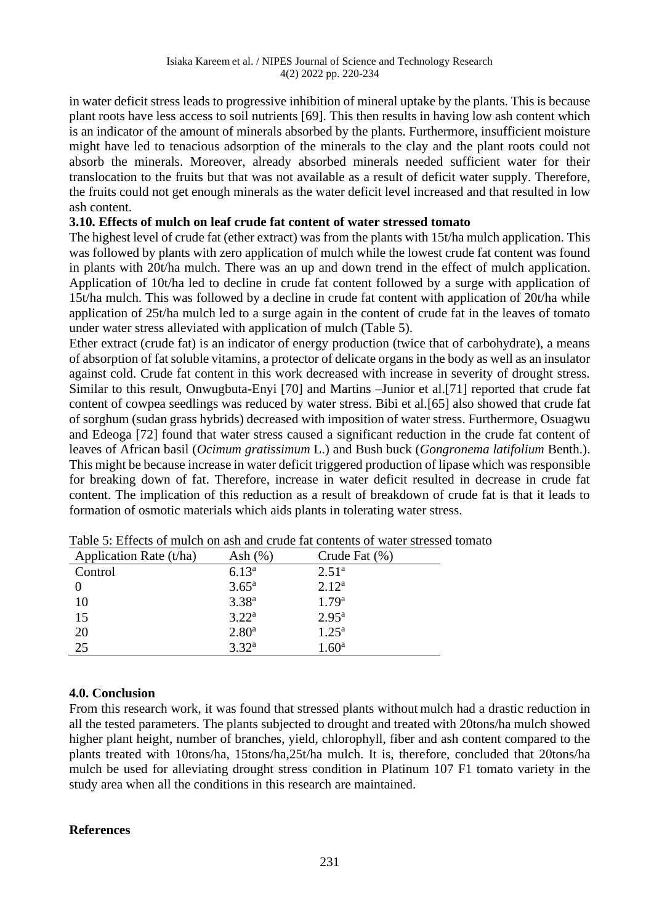in water deficit stress leads to progressive inhibition of mineral uptake by the plants. This is because plant roots have less access to soil nutrients [69]. This then results in having low ash content which is an indicator of the amount of minerals absorbed by the plants. Furthermore, insufficient moisture might have led to tenacious adsorption of the minerals to the clay and the plant roots could not absorb the minerals. Moreover, already absorbed minerals needed sufficient water for their translocation to the fruits but that was not available as a result of deficit water supply. Therefore, the fruits could not get enough minerals as the water deficit level increased and that resulted in low ash content.

#### **3.10. Effects of mulch on leaf crude fat content of water stressed tomato**

The highest level of crude fat (ether extract) was from the plants with 15t/ha mulch application. This was followed by plants with zero application of mulch while the lowest crude fat content was found in plants with 20t/ha mulch. There was an up and down trend in the effect of mulch application. Application of 10t/ha led to decline in crude fat content followed by a surge with application of 15t/ha mulch. This was followed by a decline in crude fat content with application of 20t/ha while application of 25t/ha mulch led to a surge again in the content of crude fat in the leaves of tomato under water stress alleviated with application of mulch (Table 5).

Ether extract (crude fat) is an indicator of energy production (twice that of carbohydrate), a means of absorption of fat soluble vitamins, a protector of delicate organs in the body as well as an insulator against cold. Crude fat content in this work decreased with increase in severity of drought stress. Similar to this result, Onwugbuta-Enyi [70] and Martins –Junior et al.[71] reported that crude fat content of cowpea seedlings was reduced by water stress. Bibi et al.[65] also showed that crude fat of sorghum (sudan grass hybrids) decreased with imposition of water stress. Furthermore, Osuagwu and Edeoga [72] found that water stress caused a significant reduction in the crude fat content of leaves of African basil (*Ocimum gratissimum* L.) and Bush buck (*Gongronema latifolium* Benth.). This might be because increase in water deficit triggered production of lipase which was responsible for breaking down of fat. Therefore, increase in water deficit resulted in decrease in crude fat content. The implication of this reduction as a result of breakdown of crude fat is that it leads to formation of osmotic materials which aids plants in tolerating water stress.

| Application Rate (t/ha) | Ash $(\% )$       | Crude Fat $(\% )$ |
|-------------------------|-------------------|-------------------|
| Control                 | $6.13^{\rm a}$    | $2.51^{\rm a}$    |
|                         | $3.65^{\rm a}$    | 2.12 <sup>a</sup> |
| 10                      | $3.38^{a}$        | 1.79 <sup>a</sup> |
| 15                      | 3.22 <sup>a</sup> | $2.95^{\rm a}$    |
| 20                      | 2.80 <sup>a</sup> | $1.25^{\rm a}$    |
| 25                      | 3.32 <sup>a</sup> | .60 <sup>a</sup>  |

|  |  |  | Table 5: Effects of mulch on ash and crude fat contents of water stressed tomato |  |  |  |  |  |  |  |  |  |
|--|--|--|----------------------------------------------------------------------------------|--|--|--|--|--|--|--|--|--|
|--|--|--|----------------------------------------------------------------------------------|--|--|--|--|--|--|--|--|--|

# **4.0. Conclusion**

From this research work, it was found that stressed plants without mulch had a drastic reduction in all the tested parameters. The plants subjected to drought and treated with 20tons/ha mulch showed higher plant height, number of branches, yield, chlorophyll, fiber and ash content compared to the plants treated with 10tons/ha, 15tons/ha,25t/ha mulch. It is, therefore, concluded that 20tons/ha mulch be used for alleviating drought stress condition in Platinum 107 F1 tomato variety in the study area when all the conditions in this research are maintained.

#### **References**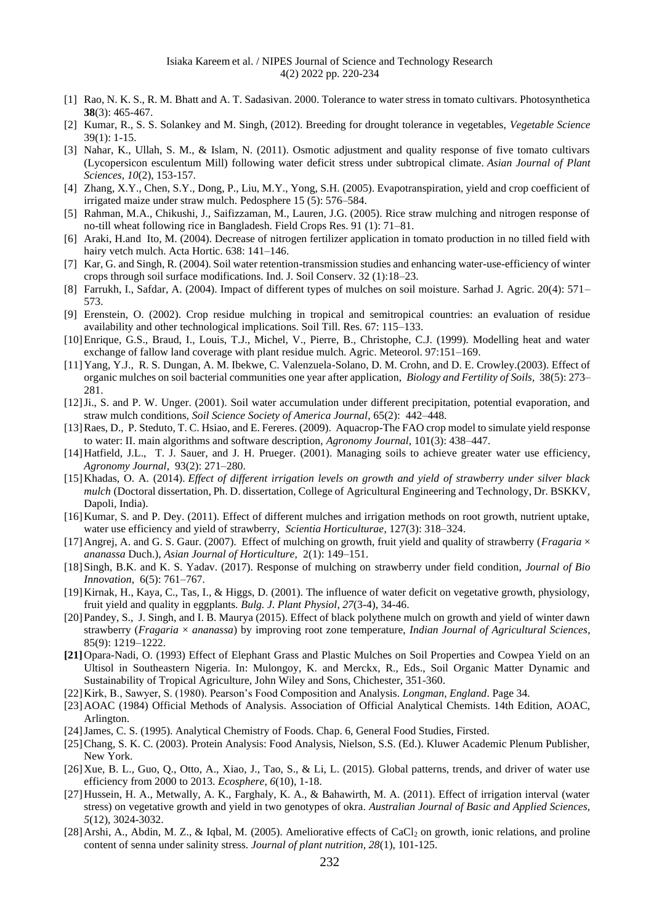- [1] Rao, N. K. S., R. M. Bhatt and A. T. Sadasivan. 2000. Tolerance to water stress in tomato cultivars. Photosynthetica **38**(3): 465-467.
- [2] Kumar, R., S. S. Solankey and M. Singh, (2012). Breeding for drought tolerance in vegetables, *Vegetable Science*  39(1): 1-15.
- [3] Nahar, K., Ullah, S. M., & Islam, N. (2011). Osmotic adjustment and quality response of five tomato cultivars (Lycopersicon esculentum Mill) following water deficit stress under subtropical climate. *Asian Journal of Plant Sciences*, *10*(2), 153-157.
- [4] Zhang, X.Y., Chen, S.Y., Dong, P., Liu, M.Y., Yong, S.H. (2005). Evapotranspiration, yield and crop coefficient of irrigated maize under straw mulch. Pedosphere 15 (5): 576–584.
- [5] Rahman, M.A., Chikushi, J., Saifizzaman, M., Lauren, J.G. (2005). Rice straw mulching and nitrogen response of no-till wheat following rice in Bangladesh. Field Crops Res. 91 (1): 71–81.
- [6] Araki, H.and Ito, M. (2004). Decrease of nitrogen fertilizer application in tomato production in no tilled field with hairy vetch mulch. Acta Hortic. 638: 141–146.
- [7] Kar, G. and Singh, R. (2004). Soil water retention-transmission studies and enhancing water-use-efficiency of winter crops through soil surface modifications. Ind. J. Soil Conserv. 32 (1):18–23.
- [8] Farrukh, I., Safdar, A. (2004). Impact of different types of mulches on soil moisture. Sarhad J. Agric. 20(4): 571– 573.
- [9] Erenstein, O. (2002). Crop residue mulching in tropical and semitropical countries: an evaluation of residue availability and other technological implications. Soil Till. Res. 67: 115–133.
- [10]Enrique, G.S., Braud, I., Louis, T.J., Michel, V., Pierre, B., Christophe, C.J. (1999). Modelling heat and water exchange of fallow land coverage with plant residue mulch. Agric. Meteorol. 97:151–169.
- [11]Yang, Y.J., R. S. Dungan, A. M. Ibekwe, C. Valenzuela-Solano, D. M. Crohn, and D. E. Crowley.(2003). Effect of organic mulches on soil bacterial communities one year after application, *Biology and Fertility of Soils*, 38(5): 273– 281.
- [12]Ji., S. and P. W. Unger. (2001). Soil water accumulation under different precipitation, potential evaporation, and straw mulch conditions, *Soil Science Society of America Journal*, 65(2): 442–448.
- [13]Raes, D., P. Steduto, T. C. Hsiao, and E. Fereres. (2009). Aquacrop-The FAO crop model to simulate yield response to water: II. main algorithms and software description, *Agronomy Journal*, 101(3): 438–447.
- [14] Hatfield, J.L., T. J. Sauer, and J. H. Prueger. (2001). Managing soils to achieve greater water use efficiency, *Agronomy Journal*, 93(2): 271–280.
- [15]Khadas, O. A. (2014). *Effect of different irrigation levels on growth and yield of strawberry under silver black mulch* (Doctoral dissertation, Ph. D. dissertation, College of Agricultural Engineering and Technology, Dr. BSKKV, Dapoli, India).
- [16]Kumar, S. and P. Dey. (2011). Effect of different mulches and irrigation methods on root growth, nutrient uptake, water use efficiency and yield of strawberry, *Scientia Horticulturae*, 127(3): 318–324.
- [17]Angrej, A. and G. S. Gaur. (2007). Effect of mulching on growth, fruit yield and quality of strawberry (*Fragaria* × *ananassa* Duch.), *Asian Journal of Horticulture*, 2(1): 149–151.
- [18] Singh, B.K. and K. S. Yadav. (2017). Response of mulching on strawberry under field condition, *Journal of Bio Innovation*, 6(5): 761–767.
- [19]Kirnak, H., Kaya, C., Tas, I., & Higgs, D. (2001). The influence of water deficit on vegetative growth, physiology, fruit yield and quality in eggplants. *Bulg. J. Plant Physiol*, *27*(3-4), 34-46.
- [20] Pandey, S., J. Singh, and I. B. Maurya (2015). Effect of black polythene mulch on growth and yield of winter dawn strawberry (*Fragaria* × *ananassa*) by improving root zone temperature, *Indian Journal of Agricultural Sciences*, 85(9): 1219–1222.
- **[21]**Opara-Nadi, O. (1993) Effect of Elephant Grass and Plastic Mulches on Soil Properties and Cowpea Yield on an Ultisol in Southeastern Nigeria. In: Mulongoy, K. and Merckx, R., Eds., Soil Organic Matter Dynamic and Sustainability of Tropical Agriculture, John Wiley and Sons, Chichester, 351-360.
- [22]Kirk, B., Sawyer, S. (1980). Pearson's Food Composition and Analysis. *Longman, England*. Page 34.
- [23] AOAC (1984) Official Methods of Analysis. Association of Official Analytical Chemists. 14th Edition, AOAC, Arlington.
- [24]James, C. S. (1995). Analytical Chemistry of Foods. Chap. 6, General Food Studies, Firsted.
- [25] Chang, S. K. C. (2003). Protein Analysis: Food Analysis, Nielson, S.S. (Ed.). Kluwer Academic Plenum Publisher, New York.
- [26]Xue, B. L., Guo, Q., Otto, A., Xiao, J., Tao, S., & Li, L. (2015). Global patterns, trends, and driver of water use efficiency from 2000 to 2013. *Ecosphere*, *6*(10), 1-18.
- [27]Hussein, H. A., Metwally, A. K., Farghaly, K. A., & Bahawirth, M. A. (2011). Effect of irrigation interval (water stress) on vegetative growth and yield in two genotypes of okra. *Australian Journal of Basic and Applied Sciences, 5*(12), 3024-3032.
- [28] Arshi, A., Abdin, M. Z., & Iqbal, M. (2005). Ameliorative effects of CaCl<sub>2</sub> on growth, ionic relations, and proline content of senna under salinity stress. *Journal of plant nutrition, 28*(1), 101-125.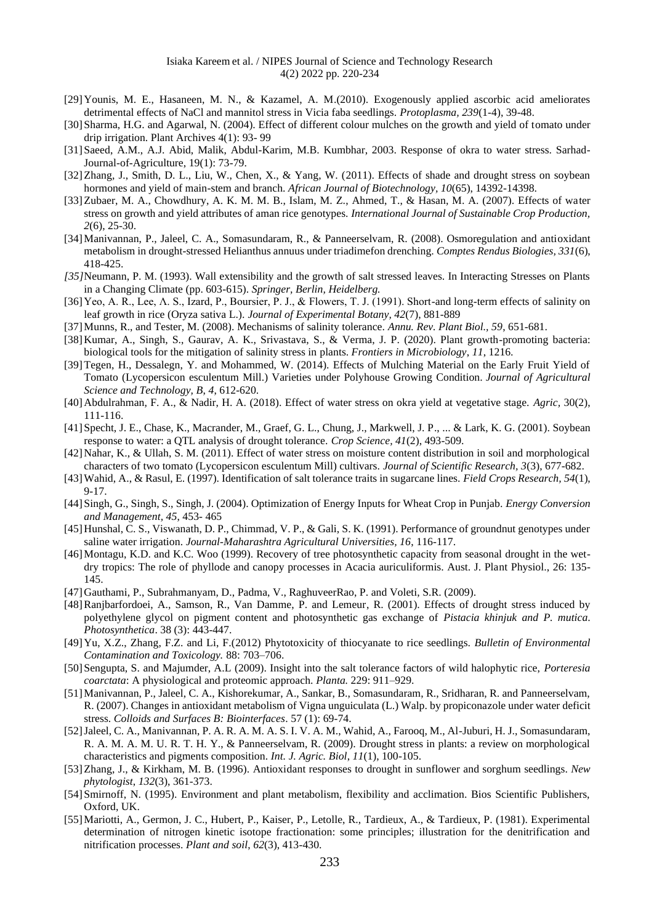- [29]Younis, M. E., Hasaneen, M. N., & Kazamel, A. M.(2010). Exogenously applied ascorbic acid ameliorates detrimental effects of NaCl and mannitol stress in Vicia faba seedlings. *Protoplasma, 239*(1-4), 39-48.
- [30] Sharma, H.G. and Agarwal, N. (2004). Effect of different colour mulches on the growth and yield of tomato under drip irrigation. Plant Archives 4(1): 93- 99
- [31] Saeed, A.M., A.J. Abid, Malik, Abdul-Karim, M.B. Kumbhar, 2003. Response of okra to water stress. Sarhad-Journal-of-Agriculture, 19(1): 73-79.
- [32] Zhang, J., Smith, D. L., Liu, W., Chen, X., & Yang, W. (2011). Effects of shade and drought stress on soybean hormones and yield of main-stem and branch. *African Journal of Biotechnology, 10*(65), 14392-14398.
- [33] Zubaer, M. A., Chowdhury, A. K. M. M. B., Islam, M. Z., Ahmed, T., & Hasan, M. A. (2007). Effects of water stress on growth and yield attributes of aman rice genotypes. *International Journal of Sustainable Crop Production, 2*(6), 25-30.
- [34]Manivannan, P., Jaleel, C. A., Somasundaram, R., & Panneerselvam, R. (2008). Osmoregulation and antioxidant metabolism in drought-stressed Helianthus annuus under triadimefon drenching. *Comptes Rendus Biologies, 331*(6), 418-425.
- *[35]*Neumann, P. M. (1993). Wall extensibility and the growth of salt stressed leaves. In Interacting Stresses on Plants in a Changing Climate (pp. 603-615). *Springer, Berlin, Heidelberg.*
- [36]Yeo, A. R., Lee, Λ. S., Izard, P., Boursier, P. J., & Flowers, T. J. (1991). Short-and long-term effects of salinity on leaf growth in rice (Oryza sativa L.). *Journal of Experimental Botany, 42*(7), 881-889
- [37]Munns, R., and Tester, M. (2008). Mechanisms of salinity tolerance. *Annu. Rev. Plant Biol., 59*, 651-681.
- [38]Kumar, A., Singh, S., Gaurav, A. K., Srivastava, S., & Verma, J. P. (2020). Plant growth-promoting bacteria: biological tools for the mitigation of salinity stress in plants. *Frontiers in Microbiology*, *11*, 1216.
- [39]Tegen, H., Dessalegn, Y. and Mohammed, W. (2014). Effects of Mulching Material on the Early Fruit Yield of Tomato (Lycopersicon esculentum Mill.) Varieties under Polyhouse Growing Condition. *Journal of Agricultural Science and Technology, B*, *4*, 612-620.
- [40]Abdulrahman, F. A., & Nadir, H. A. (2018). Effect of water stress on okra yield at vegetative stage. *Agric,* 30(2), 111-116.
- [41] Specht, J. E., Chase, K., Macrander, M., Graef, G. L., Chung, J., Markwell, J. P., ... & Lark, K. G. (2001). Soybean response to water: a QTL analysis of drought tolerance. *Crop Science, 41*(2), 493-509.
- [42]Nahar, K., & Ullah, S. M. (2011). Effect of water stress on moisture content distribution in soil and morphological characters of two tomato (Lycopersicon esculentum Mill) cultivars. *Journal of Scientific Research, 3*(3), 677-682.
- [43]Wahid, A., & Rasul, E. (1997). Identification of salt tolerance traits in sugarcane lines. *Field Crops Research, 54*(1), 9-17.
- [44] Singh, G., Singh, S., Singh, J. (2004). Optimization of Energy Inputs for Wheat Crop in Punjab. *Energy Conversion and Management, 45*, 453- 465
- [45]Hunshal, C. S., Viswanath, D. P., Chimmad, V. P., & Gali, S. K. (1991). Performance of groundnut genotypes under saline water irrigation. *Journal-Maharashtra Agricultural Universities, 16*, 116-117.
- [46]Montagu, K.D. and K.C. Woo (1999). Recovery of tree photosynthetic capacity from seasonal drought in the wetdry tropics: The role of phyllode and canopy processes in Acacia auriculiformis. Aust. J. Plant Physiol., 26: 135- 145.
- [47]Gauthami, P., Subrahmanyam, D., Padma, V., RaghuveerRao, P. and Voleti, S.R. (2009).
- [48]Ranjbarfordoei, A., Samson, R., Van Damme, P. and Lemeur, R. (2001). Effects of drought stress induced by polyethylene glycol on pigment content and photosynthetic gas exchange of *Pistacia khinjuk and P. mutica*. *Photosynthetica*. 38 (3): 443-447.
- [49]Yu, X.Z., Zhang, F.Z. and Li, F.(2012) Phytotoxicity of thiocyanate to rice seedlings. *Bulletin of Environmental Contamination and Toxicology.* 88: 703–706.
- [50] Sengupta, S. and Majumder, A.L (2009). Insight into the salt tolerance factors of wild halophytic rice, *Porteresia coarctata*: A physiological and proteomic approach. *Planta.* 229: 911–929.
- [51]Manivannan, P., Jaleel, C. A., Kishorekumar, A., Sankar, B., Somasundaram, R., Sridharan, R. and Panneerselvam, R. (2007). Changes in antioxidant metabolism of Vigna unguiculata (L.) Walp. by propiconazole under water deficit stress. *Colloids and Surfaces B: Biointerfaces*. 57 (1): 69-74.
- [52]Jaleel, C. A., Manivannan, P. A. R. A. M. A. S. I. V. A. M., Wahid, A., Farooq, M., Al-Juburi, H. J., Somasundaram, R. A. M. A. M. U. R. T. H. Y., & Panneerselvam, R. (2009). Drought stress in plants: a review on morphological characteristics and pigments composition. *Int. J. Agric. Biol*, *11*(1), 100-105.
- [53]Zhang, J., & Kirkham, M. B. (1996). Antioxidant responses to drought in sunflower and sorghum seedlings. *New phytologist*, *132*(3), 361-373.
- [54] Smirnoff, N. (1995). Environment and plant metabolism, flexibility and acclimation. Bios Scientific Publishers, Oxford, UK.
- [55]Mariotti, A., Germon, J. C., Hubert, P., Kaiser, P., Letolle, R., Tardieux, A., & Tardieux, P. (1981). Experimental determination of nitrogen kinetic isotope fractionation: some principles; illustration for the denitrification and nitrification processes. *Plant and soil*, *62*(3), 413-430.